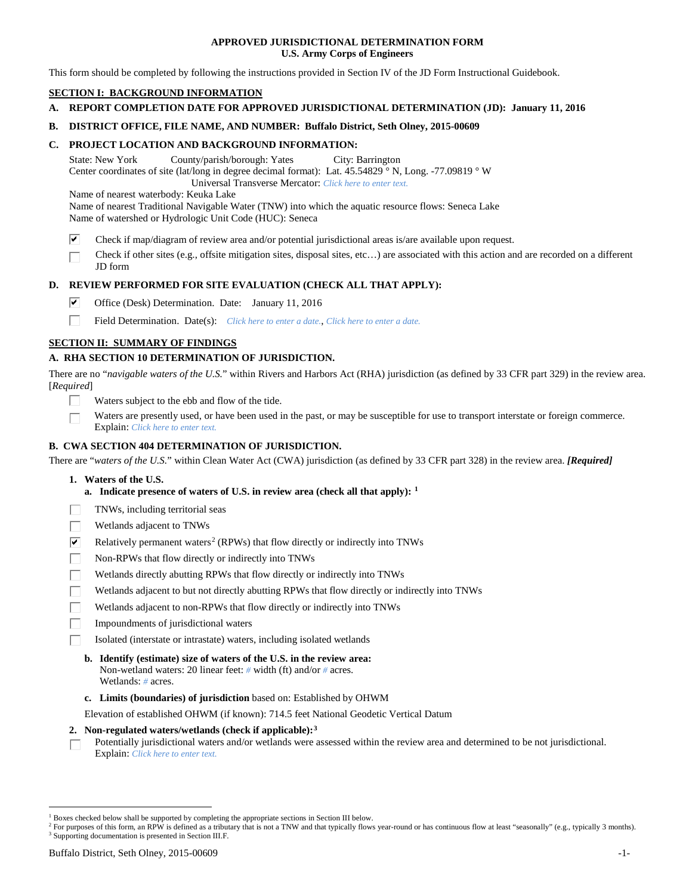### **APPROVED JURISDICTIONAL DETERMINATION FORM U.S. Army Corps of Engineers**

This form should be completed by following the instructions provided in Section IV of the JD Form Instructional Guidebook.

## **SECTION I: BACKGROUND INFORMATION**

- **A. REPORT COMPLETION DATE FOR APPROVED JURISDICTIONAL DETERMINATION (JD): January 11, 2016**
- **B. DISTRICT OFFICE, FILE NAME, AND NUMBER: Buffalo District, Seth Olney, 2015-00609**

### **C. PROJECT LOCATION AND BACKGROUND INFORMATION:**

State: New York County/parish/borough: Yates City: Barrington Center coordinates of site (lat/long in degree decimal format): Lat. 45.54829 ° N, Long. -77.09819 ° W Universal Transverse Mercator: *Click here to enter text.*

Name of nearest waterbody: Keuka Lake

Name of nearest Traditional Navigable Water (TNW) into which the aquatic resource flows: Seneca Lake Name of watershed or Hydrologic Unit Code (HUC): Seneca

- ☑ Check if map/diagram of review area and/or potential jurisdictional areas is/are available upon request.
- Check if other sites (e.g., offsite mitigation sites, disposal sites, etc…) are associated with this action and are recorded on a different JD form

### **D. REVIEW PERFORMED FOR SITE EVALUATION (CHECK ALL THAT APPLY):**

- ⊽ Office (Desk) Determination. Date: January 11, 2016
- п Field Determination. Date(s): *Click here to enter a date.*, *Click here to enter a date.*

### **SECTION II: SUMMARY OF FINDINGS**

### **A. RHA SECTION 10 DETERMINATION OF JURISDICTION.**

There are no "*navigable waters of the U.S.*" within Rivers and Harbors Act (RHA) jurisdiction (as defined by 33 CFR part 329) in the review area. [*Required*]

- Waters subject to the ebb and flow of the tide.
- Waters are presently used, or have been used in the past, or may be susceptible for use to transport interstate or foreign commerce. Explain: *Click here to enter text.*

### **B. CWA SECTION 404 DETERMINATION OF JURISDICTION.**

There are "*waters of the U.S.*" within Clean Water Act (CWA) jurisdiction (as defined by 33 CFR part 328) in the review area. *[Required]*

- **1. Waters of the U.S.**
	- **a. Indicate presence of waters of U.S. in review area (check all that apply): [1](#page-0-0)**
- TNWs, including territorial seas
- Wetlands adjacent to TNWs
- $\overline{\mathbf{v}}$ Relatively permanent waters<sup>[2](#page-0-1)</sup> (RPWs) that flow directly or indirectly into TNWs
- П Non-RPWs that flow directly or indirectly into TNWs
- Wetlands directly abutting RPWs that flow directly or indirectly into TNWs
- Wetlands adjacent to but not directly abutting RPWs that flow directly or indirectly into TNWs
- П Wetlands adjacent to non-RPWs that flow directly or indirectly into TNWs
- Impoundments of jurisdictional waters
- Isolated (interstate or intrastate) waters, including isolated wetlands
	- **b. Identify (estimate) size of waters of the U.S. in the review area:** Non-wetland waters: 20 linear feet: *#* width (ft) and/or *#* acres. Wetlands: *#* acres.
	- **c. Limits (boundaries) of jurisdiction** based on: Established by OHWM

Elevation of established OHWM (if known): 714.5 feet National Geodetic Vertical Datum

#### **2. Non-regulated waters/wetlands (check if applicable):[3](#page-0-2)**

Potentially jurisdictional waters and/or wetlands were assessed within the review area and determined to be not jurisdictional. П Explain: *Click here to enter text.*

<span id="page-0-0"></span><sup>&</sup>lt;sup>1</sup> Boxes checked below shall be supported by completing the appropriate sections in Section III below.

<span id="page-0-2"></span><span id="page-0-1"></span><sup>&</sup>lt;sup>2</sup> For purposes of this form, an RPW is defined as a tributary that is not a TNW and that typically flows year-round or has continuous flow at least "seasonally" (e.g., typically 3 months). <sup>3</sup> Supporting documentation is presented in Section III.F.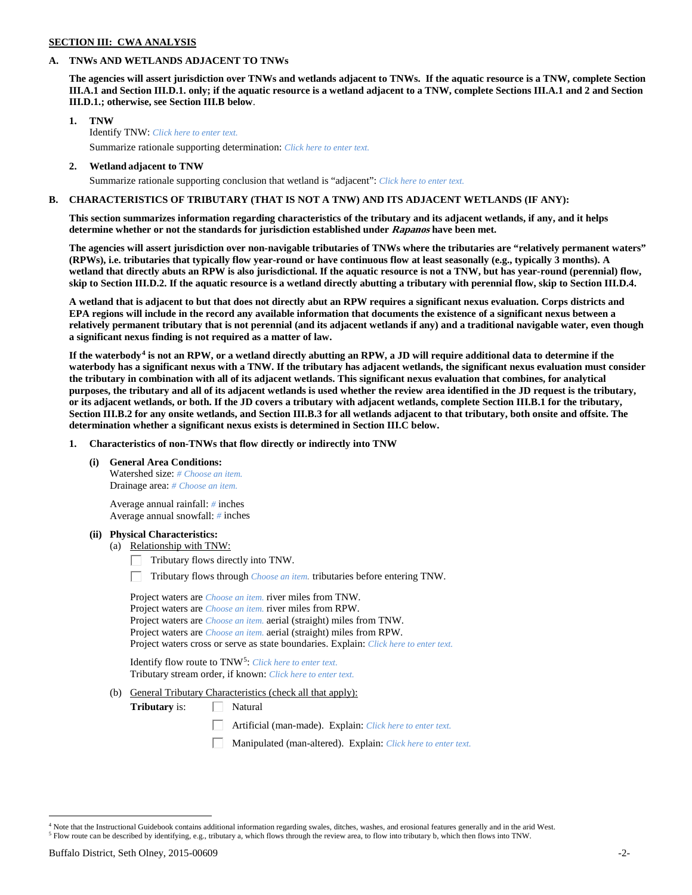## **SECTION III: CWA ANALYSIS**

### **A. TNWs AND WETLANDS ADJACENT TO TNWs**

**The agencies will assert jurisdiction over TNWs and wetlands adjacent to TNWs. If the aquatic resource is a TNW, complete Section III.A.1 and Section III.D.1. only; if the aquatic resource is a wetland adjacent to a TNW, complete Sections III.A.1 and 2 and Section III.D.1.; otherwise, see Section III.B below**.

- **1. TNW**  Identify TNW: *Click here to enter text.*
	- Summarize rationale supporting determination: *Click here to enter text.*
- **2. Wetland adjacent to TNW** Summarize rationale supporting conclusion that wetland is "adjacent": *Click here to enter text.*

### **B. CHARACTERISTICS OF TRIBUTARY (THAT IS NOT A TNW) AND ITS ADJACENT WETLANDS (IF ANY):**

**This section summarizes information regarding characteristics of the tributary and its adjacent wetlands, if any, and it helps determine whether or not the standards for jurisdiction established under Rapanos have been met.** 

**The agencies will assert jurisdiction over non-navigable tributaries of TNWs where the tributaries are "relatively permanent waters" (RPWs), i.e. tributaries that typically flow year-round or have continuous flow at least seasonally (e.g., typically 3 months). A wetland that directly abuts an RPW is also jurisdictional. If the aquatic resource is not a TNW, but has year-round (perennial) flow, skip to Section III.D.2. If the aquatic resource is a wetland directly abutting a tributary with perennial flow, skip to Section III.D.4.**

**A wetland that is adjacent to but that does not directly abut an RPW requires a significant nexus evaluation. Corps districts and EPA regions will include in the record any available information that documents the existence of a significant nexus between a relatively permanent tributary that is not perennial (and its adjacent wetlands if any) and a traditional navigable water, even though a significant nexus finding is not required as a matter of law.**

**If the waterbody[4](#page-1-0) is not an RPW, or a wetland directly abutting an RPW, a JD will require additional data to determine if the waterbody has a significant nexus with a TNW. If the tributary has adjacent wetlands, the significant nexus evaluation must consider the tributary in combination with all of its adjacent wetlands. This significant nexus evaluation that combines, for analytical purposes, the tributary and all of its adjacent wetlands is used whether the review area identified in the JD request is the tributary, or its adjacent wetlands, or both. If the JD covers a tributary with adjacent wetlands, complete Section III.B.1 for the tributary, Section III.B.2 for any onsite wetlands, and Section III.B.3 for all wetlands adjacent to that tributary, both onsite and offsite. The determination whether a significant nexus exists is determined in Section III.C below.**

**1. Characteristics of non-TNWs that flow directly or indirectly into TNW**

**(i) General Area Conditions:**

Watershed size: *# Choose an item.* Drainage area: *# Choose an item.*

Average annual rainfall: *#* inches Average annual snowfall: *#* inches

#### **(ii) Physical Characteristics:**

- (a) Relationship with TNW:
	- Tributary flows directly into TNW. Г.

Tributary flows through *Choose an item.* tributaries before entering TNW.

Project waters are *Choose an item.* river miles from TNW. Project waters are *Choose an item.* river miles from RPW. Project waters are *Choose an item.* aerial (straight) miles from TNW. Project waters are *Choose an item.* aerial (straight) miles from RPW. Project waters cross or serve as state boundaries. Explain: *Click here to enter text.*

Identify flow route to TNW[5:](#page-1-1) *Click here to enter text.* Tributary stream order, if known: *Click here to enter text.*

(b) General Tributary Characteristics (check all that apply):

**Tributary** is:  $\Box$  Natural

- Artificial (man-made). Explain: *Click here to enter text.*
- Manipulated (man-altered). Explain: *Click here to enter text.*

<span id="page-1-0"></span><sup>&</sup>lt;sup>4</sup> Note that the Instructional Guidebook contains additional information regarding swales, ditches, washes, and erosional features generally and in the arid West.

<span id="page-1-1"></span><sup>5</sup> Flow route can be described by identifying, e.g., tributary a, which flows through the review area, to flow into tributary b, which then flows into TNW.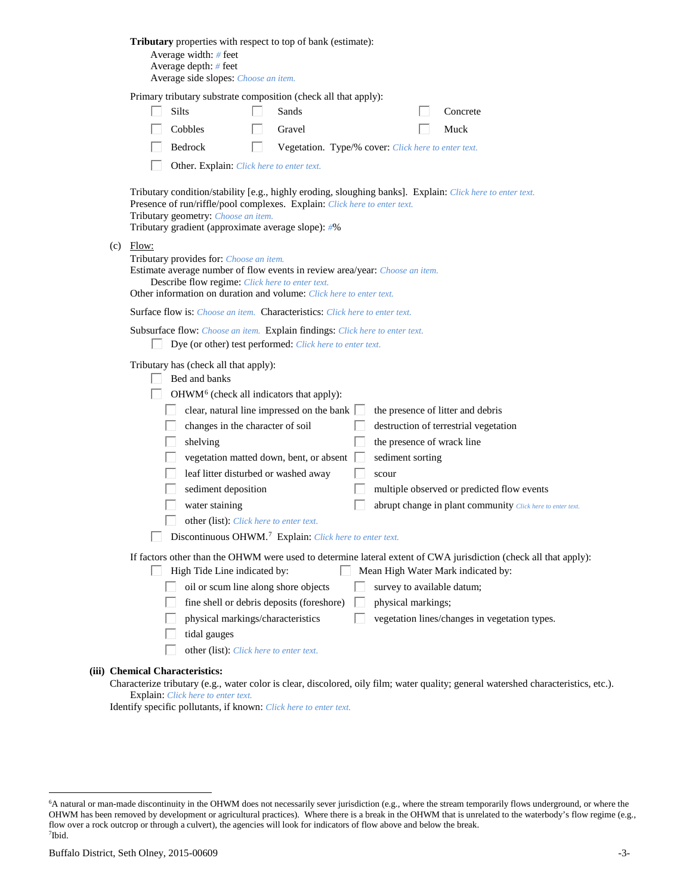| Tributary properties with respect to top of bank (estimate):<br>Average width: # feet<br>Average depth: $#$ feet<br>Average side slopes: Choose an item.                                                                                                                                                                                                                                                                                                                                                                                                                                                                                                                                                              |
|-----------------------------------------------------------------------------------------------------------------------------------------------------------------------------------------------------------------------------------------------------------------------------------------------------------------------------------------------------------------------------------------------------------------------------------------------------------------------------------------------------------------------------------------------------------------------------------------------------------------------------------------------------------------------------------------------------------------------|
| Primary tributary substrate composition (check all that apply):<br>Silts<br>Sands<br>Concrete<br>Cobbles<br>Gravel<br>Muck<br>Bedrock<br>Vegetation. Type/% cover: Click here to enter text.<br>L                                                                                                                                                                                                                                                                                                                                                                                                                                                                                                                     |
| Other. Explain: Click here to enter text.<br>Tributary condition/stability [e.g., highly eroding, sloughing banks]. Explain: Click here to enter text.<br>Presence of run/riffle/pool complexes. Explain: Click here to enter text.<br>Tributary geometry: Choose an item.<br>Tributary gradient (approximate average slope): #%                                                                                                                                                                                                                                                                                                                                                                                      |
| $(c)$ Flow:<br>Tributary provides for: Choose an item.<br>Estimate average number of flow events in review area/year: Choose an item.<br>Describe flow regime: Click here to enter text.<br>Other information on duration and volume: Click here to enter text.                                                                                                                                                                                                                                                                                                                                                                                                                                                       |
| <b>Surface flow is:</b> <i>Choose an item.</i> <b>Characteristics:</b> <i>Click here to enter text.</i>                                                                                                                                                                                                                                                                                                                                                                                                                                                                                                                                                                                                               |
| Subsurface flow: Choose an item. Explain findings: Click here to enter text.<br>Dye (or other) test performed: Click here to enter text.                                                                                                                                                                                                                                                                                                                                                                                                                                                                                                                                                                              |
| Tributary has (check all that apply):<br>Bed and banks<br>OHWM <sup>6</sup> (check all indicators that apply):<br>clear, natural line impressed on the bank $\Box$<br>the presence of litter and debris<br>changes in the character of soil<br>destruction of terrestrial vegetation<br>the presence of wrack line<br>shelving<br>vegetation matted down, bent, or absent<br>sediment sorting<br>leaf litter disturbed or washed away<br>scour<br>sediment deposition<br>multiple observed or predicted flow events<br>water staining<br>abrupt change in plant community Click here to enter text.<br>other (list): Click here to enter text.<br>Discontinuous OHWM. <sup>7</sup> Explain: Click here to enter text. |
| If factors other than the OHWM were used to determine lateral extent of CWA jurisdiction (check all that apply):<br>High Tide Line indicated by:<br>Mean High Water Mark indicated by:<br>L<br>oil or scum line along shore objects<br>survey to available datum;<br>fine shell or debris deposits (foreshore)<br>physical markings;<br>physical markings/characteristics<br>vegetation lines/changes in vegetation types.<br>tidal gauges<br>other (list): Click here to enter text.                                                                                                                                                                                                                                 |
| (iii) Chemical Characteristics:                                                                                                                                                                                                                                                                                                                                                                                                                                                                                                                                                                                                                                                                                       |

Characterize tributary (e.g., water color is clear, discolored, oily film; water quality; general watershed characteristics, etc.). Explain: *Click here to enter text.*

Identify specific pollutants, if known: *Click here to enter text.*

<span id="page-2-1"></span><span id="page-2-0"></span> <sup>6</sup> <sup>6</sup>A natural or man-made discontinuity in the OHWM does not necessarily sever jurisdiction (e.g., where the stream temporarily flows underground, or where the OHWM has been removed by development or agricultural practices). Where there is a break in the OHWM that is unrelated to the waterbody's flow regime (e.g., flow over a rock outcrop or through a culvert), the agencies will look for indicators of flow above and below the break. 7 Ibid.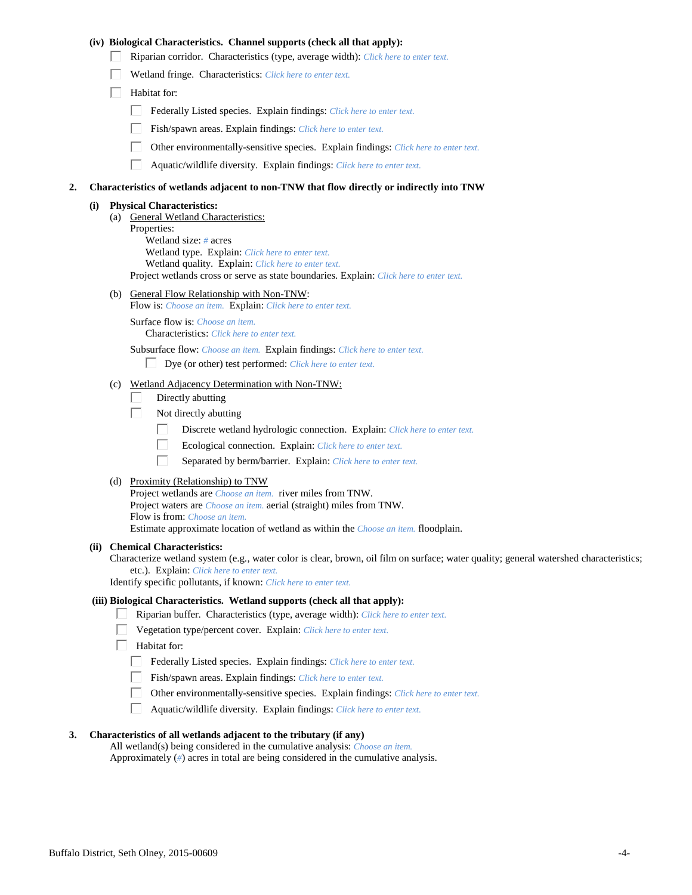### **(iv) Biological Characteristics. Channel supports (check all that apply):**

- Riparian corridor. Characteristics (type, average width): *Click here to enter text.*
- Wetland fringe. Characteristics: *Click here to enter text.*
- $\Box$  Habitat for:
	- Federally Listed species. Explain findings: *Click here to enter text.*
	- Fish/spawn areas. Explain findings: *Click here to enter text.*
	- Other environmentally-sensitive species. Explain findings: *Click here to enter text.*
	- $\Box$ Aquatic/wildlife diversity. Explain findings: *Click here to enter text.*

#### **2. Characteristics of wetlands adjacent to non-TNW that flow directly or indirectly into TNW**

#### **(i) Physical Characteristics:**

(a) General Wetland Characteristics: Properties: Wetland size: *#* acres Wetland type. Explain: *Click here to enter text.* Wetland quality. Explain: *Click here to enter text.* Project wetlands cross or serve as state boundaries. Explain: *Click here to enter text.*

(b) General Flow Relationship with Non-TNW:

Flow is: *Choose an item.* Explain: *Click here to enter text.*

Surface flow is: *Choose an item.* Characteristics: *Click here to enter text.*

Subsurface flow: *Choose an item.* Explain findings: *Click here to enter text.*

- Dye (or other) test performed: *Click here to enter text.*
- (c) Wetland Adjacency Determination with Non-TNW:
	- Directly abutting П.
	- П. Not directly abutting
		- П. Discrete wetland hydrologic connection. Explain: *Click here to enter text.*
		- П. Ecological connection. Explain: *Click here to enter text.*
		- П. Separated by berm/barrier. Explain: *Click here to enter text.*
- (d) Proximity (Relationship) to TNW

Project wetlands are *Choose an item.* river miles from TNW. Project waters are *Choose an item.* aerial (straight) miles from TNW. Flow is from: *Choose an item.* Estimate approximate location of wetland as within the *Choose an item.* floodplain.

#### **(ii) Chemical Characteristics:**

Characterize wetland system (e.g., water color is clear, brown, oil film on surface; water quality; general watershed characteristics; etc.). Explain: *Click here to enter text.*

Identify specific pollutants, if known: *Click here to enter text.*

#### **(iii) Biological Characteristics. Wetland supports (check all that apply):**

- Riparian buffer. Characteristics (type, average width): *Click here to enter text.*
	- Vegetation type/percent cover. Explain: *Click here to enter text.*
	- Habitat for:
		- Federally Listed species. Explain findings: *Click here to enter text*.
		- Fish/spawn areas. Explain findings: *Click here to enter text.*
		- Other environmentally-sensitive species. Explain findings: *Click here to enter text.*  $\Box$
		- $\Box$ Aquatic/wildlife diversity. Explain findings: *Click here to enter text.*

### **3. Characteristics of all wetlands adjacent to the tributary (if any)**

All wetland(s) being considered in the cumulative analysis: *Choose an item.* Approximately (*#*) acres in total are being considered in the cumulative analysis.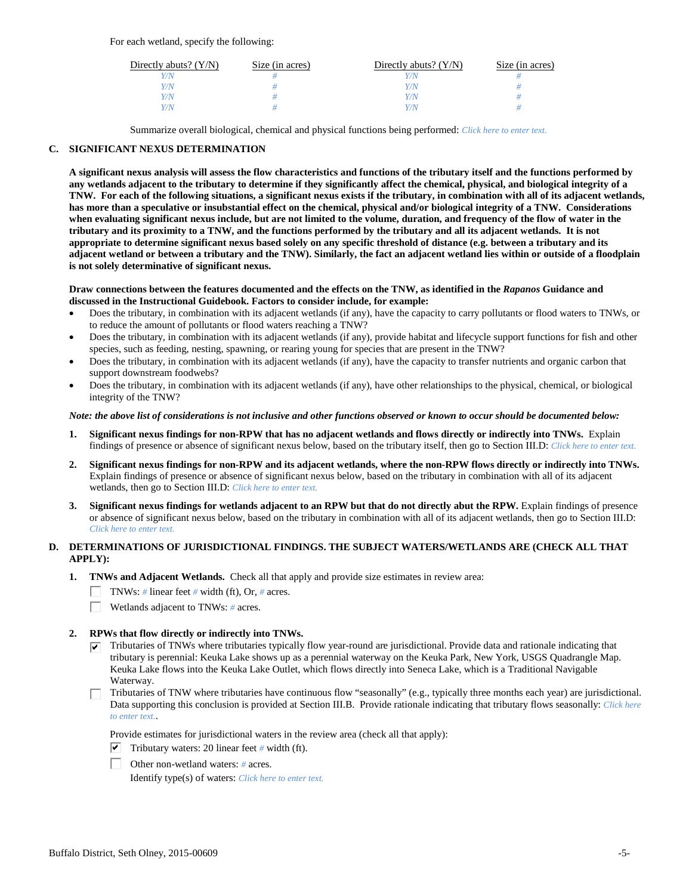For each wetland, specify the following:

| Directly abuts? $(Y/N)$ | Size (in acres) | Directly abuts? $(Y/N)$ | Size (in acres) |
|-------------------------|-----------------|-------------------------|-----------------|
| Y/N                     |                 |                         |                 |
| Y/N                     |                 | Y/N                     |                 |
| Y/N                     |                 | Y/N                     |                 |
| Y/N                     |                 | Y/N                     |                 |

Summarize overall biological, chemical and physical functions being performed: *Click here to enter text.*

### **C. SIGNIFICANT NEXUS DETERMINATION**

**A significant nexus analysis will assess the flow characteristics and functions of the tributary itself and the functions performed by any wetlands adjacent to the tributary to determine if they significantly affect the chemical, physical, and biological integrity of a TNW. For each of the following situations, a significant nexus exists if the tributary, in combination with all of its adjacent wetlands, has more than a speculative or insubstantial effect on the chemical, physical and/or biological integrity of a TNW. Considerations when evaluating significant nexus include, but are not limited to the volume, duration, and frequency of the flow of water in the tributary and its proximity to a TNW, and the functions performed by the tributary and all its adjacent wetlands. It is not appropriate to determine significant nexus based solely on any specific threshold of distance (e.g. between a tributary and its adjacent wetland or between a tributary and the TNW). Similarly, the fact an adjacent wetland lies within or outside of a floodplain is not solely determinative of significant nexus.** 

#### **Draw connections between the features documented and the effects on the TNW, as identified in the** *Rapanos* **Guidance and discussed in the Instructional Guidebook. Factors to consider include, for example:**

- Does the tributary, in combination with its adjacent wetlands (if any), have the capacity to carry pollutants or flood waters to TNWs, or to reduce the amount of pollutants or flood waters reaching a TNW?
- Does the tributary, in combination with its adjacent wetlands (if any), provide habitat and lifecycle support functions for fish and other species, such as feeding, nesting, spawning, or rearing young for species that are present in the TNW?
- Does the tributary, in combination with its adjacent wetlands (if any), have the capacity to transfer nutrients and organic carbon that support downstream foodwebs?
- Does the tributary, in combination with its adjacent wetlands (if any), have other relationships to the physical, chemical, or biological integrity of the TNW?

#### *Note: the above list of considerations is not inclusive and other functions observed or known to occur should be documented below:*

- **1. Significant nexus findings for non-RPW that has no adjacent wetlands and flows directly or indirectly into TNWs.** Explain findings of presence or absence of significant nexus below, based on the tributary itself, then go to Section III.D: *Click here to enter text.*
- **2. Significant nexus findings for non-RPW and its adjacent wetlands, where the non-RPW flows directly or indirectly into TNWs.**  Explain findings of presence or absence of significant nexus below, based on the tributary in combination with all of its adjacent wetlands, then go to Section III.D: *Click here to enter text.*
- **3. Significant nexus findings for wetlands adjacent to an RPW but that do not directly abut the RPW.** Explain findings of presence or absence of significant nexus below, based on the tributary in combination with all of its adjacent wetlands, then go to Section III.D: *Click here to enter text.*

## **D. DETERMINATIONS OF JURISDICTIONAL FINDINGS. THE SUBJECT WATERS/WETLANDS ARE (CHECK ALL THAT APPLY):**

- **1. TNWs and Adjacent Wetlands.** Check all that apply and provide size estimates in review area:
	- TNWs: *#* linear feet *#* width (ft), Or, *#* acres.
	- $\Box$ Wetlands adjacent to TNWs: *#* acres.
- **2. RPWs that flow directly or indirectly into TNWs.**
	- $\triangledown$  Tributaries of TNWs where tributaries typically flow year-round are jurisdictional. Provide data and rationale indicating that tributary is perennial: Keuka Lake shows up as a perennial waterway on the Keuka Park, New York, USGS Quadrangle Map. Keuka Lake flows into the Keuka Lake Outlet, which flows directly into Seneca Lake, which is a Traditional Navigable Waterway.
	- Tributaries of TNW where tributaries have continuous flow "seasonally" (e.g., typically three months each year) are jurisdictional. Data supporting this conclusion is provided at Section III.B. Provide rationale indicating that tributary flows seasonally: *Click here to enter text.*.

Provide estimates for jurisdictional waters in the review area (check all that apply):

- $\triangledown$  Tributary waters: 20 linear feet # width (ft).
- Other non-wetland waters: *#* acres.

Identify type(s) of waters: *Click here to enter text.*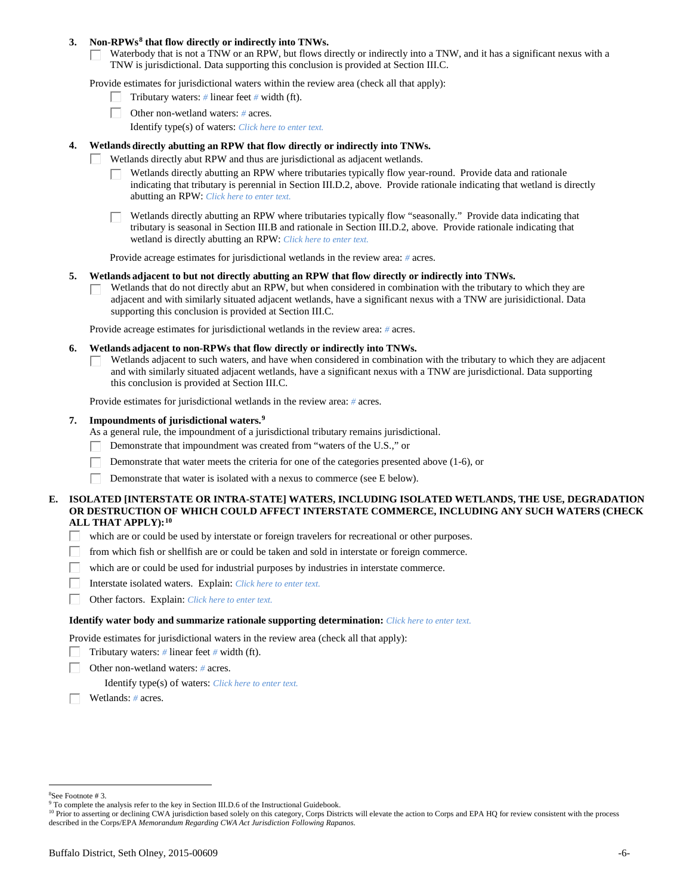### **3. Non-RPWs[8](#page-5-0) that flow directly or indirectly into TNWs.**

Waterbody that is not a TNW or an RPW, but flows directly or indirectly into a TNW, and it has a significant nexus with a TNW is jurisdictional. Data supporting this conclusion is provided at Section III.C.

Provide estimates for jurisdictional waters within the review area (check all that apply):

- Tributary waters: *#* linear feet *#* width (ft).  $\mathbf{L}$
- Other non-wetland waters: *#* acres.
	- Identify type(s) of waters: *Click here to enter text.*

### **4. Wetlands directly abutting an RPW that flow directly or indirectly into TNWs.**

- ГT. Wetlands directly abut RPW and thus are jurisdictional as adjacent wetlands.
	- Wetlands directly abutting an RPW where tributaries typically flow year-round. Provide data and rationale indicating that tributary is perennial in Section III.D.2, above. Provide rationale indicating that wetland is directly abutting an RPW: *Click here to enter text.*

Wetlands directly abutting an RPW where tributaries typically flow "seasonally." Provide data indicating that tributary is seasonal in Section III.B and rationale in Section III.D.2, above. Provide rationale indicating that wetland is directly abutting an RPW: *Click here to enter text.*

Provide acreage estimates for jurisdictional wetlands in the review area: *#* acres.

#### **5. Wetlands adjacent to but not directly abutting an RPW that flow directly or indirectly into TNWs.**

Wetlands that do not directly abut an RPW, but when considered in combination with the tributary to which they are П adjacent and with similarly situated adjacent wetlands, have a significant nexus with a TNW are jurisidictional. Data supporting this conclusion is provided at Section III.C.

Provide acreage estimates for jurisdictional wetlands in the review area: *#* acres.

### **6. Wetlands adjacent to non-RPWs that flow directly or indirectly into TNWs.**

Wetlands adjacent to such waters, and have when considered in combination with the tributary to which they are adjacent П and with similarly situated adjacent wetlands, have a significant nexus with a TNW are jurisdictional. Data supporting this conclusion is provided at Section III.C.

Provide estimates for jurisdictional wetlands in the review area: *#* acres.

### **7. Impoundments of jurisdictional waters. [9](#page-5-1)**

As a general rule, the impoundment of a jurisdictional tributary remains jurisdictional.

- Demonstrate that impoundment was created from "waters of the U.S.," or
- Demonstrate that water meets the criteria for one of the categories presented above (1-6), or
- Demonstrate that water is isolated with a nexus to commerce (see E below). Г

### **E. ISOLATED [INTERSTATE OR INTRA-STATE] WATERS, INCLUDING ISOLATED WETLANDS, THE USE, DEGRADATION OR DESTRUCTION OF WHICH COULD AFFECT INTERSTATE COMMERCE, INCLUDING ANY SUCH WATERS (CHECK ALL THAT APPLY):[10](#page-5-2)**

- L. which are or could be used by interstate or foreign travelers for recreational or other purposes.
- from which fish or shellfish are or could be taken and sold in interstate or foreign commerce.
- which are or could be used for industrial purposes by industries in interstate commerce. П.
- Г Interstate isolated waters.Explain: *Click here to enter text.*
- П Other factors.Explain: *Click here to enter text.*

#### **Identify water body and summarize rationale supporting determination:** *Click here to enter text.*

Provide estimates for jurisdictional waters in the review area (check all that apply):

- Tributary waters: *#* linear feet *#* width (ft).
- Other non-wetland waters: *#* acres.

Identify type(s) of waters: *Click here to enter text.*

Wetlands: *#* acres.

<span id="page-5-0"></span> $\frac{1}{8}$ See Footnote # 3.

<sup>&</sup>lt;sup>9</sup> To complete the analysis refer to the key in Section III.D.6 of the Instructional Guidebook.

<span id="page-5-2"></span><span id="page-5-1"></span><sup>&</sup>lt;sup>10</sup> Prior to asserting or declining CWA jurisdiction based solely on this category, Corps Districts will elevate the action to Corps and EPA HQ for review consistent with the process described in the Corps/EPA *Memorandum Regarding CWA Act Jurisdiction Following Rapanos.*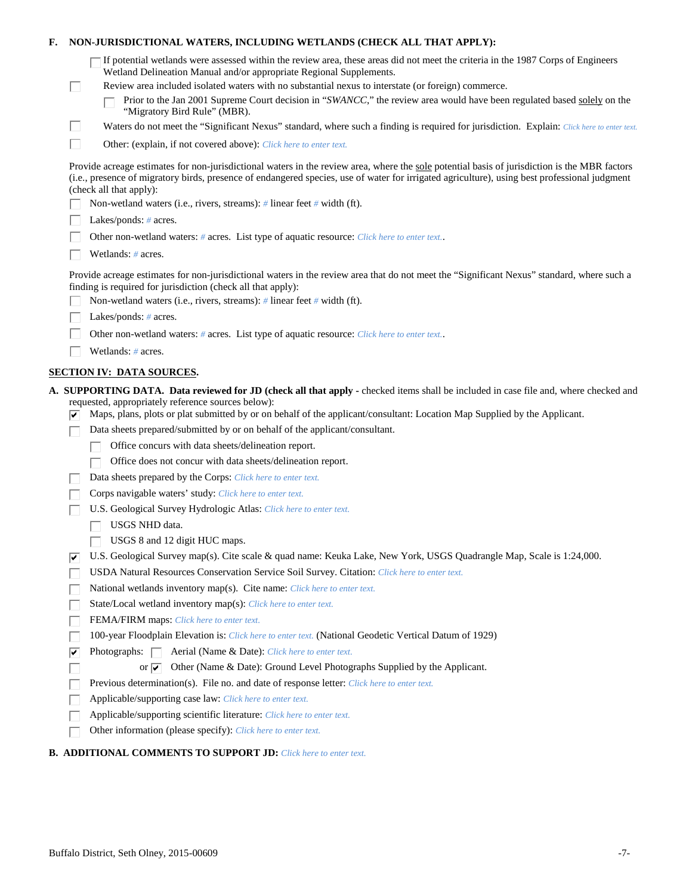| Е.                                                                                                                                                                                                                                                                                                                        |    | NON-JURISDICTIONAL WATERS, INCLUDING WETLANDS (CHECK ALL THAT APPLY):                                                                                                                                                |  |
|---------------------------------------------------------------------------------------------------------------------------------------------------------------------------------------------------------------------------------------------------------------------------------------------------------------------------|----|----------------------------------------------------------------------------------------------------------------------------------------------------------------------------------------------------------------------|--|
|                                                                                                                                                                                                                                                                                                                           |    | If potential wetlands were assessed within the review area, these areas did not meet the criteria in the 1987 Corps of Engineers<br>Wetland Delineation Manual and/or appropriate Regional Supplements.              |  |
|                                                                                                                                                                                                                                                                                                                           | L  | Review area included isolated waters with no substantial nexus to interstate (or foreign) commerce.                                                                                                                  |  |
|                                                                                                                                                                                                                                                                                                                           |    | Prior to the Jan 2001 Supreme Court decision in "SWANCC," the review area would have been regulated based solely on the<br>"Migratory Bird Rule" (MBR).                                                              |  |
|                                                                                                                                                                                                                                                                                                                           | Ш  | Waters do not meet the "Significant Nexus" standard, where such a finding is required for jurisdiction. Explain: Click here to enter text.                                                                           |  |
|                                                                                                                                                                                                                                                                                                                           | П  | Other: (explain, if not covered above): Click here to enter text.                                                                                                                                                    |  |
| Provide acreage estimates for non-jurisdictional waters in the review area, where the sole potential basis of jurisdiction is the MBR factors<br>(i.e., presence of migratory birds, presence of endangered species, use of water for irrigated agriculture), using best professional judgment<br>(check all that apply): |    |                                                                                                                                                                                                                      |  |
|                                                                                                                                                                                                                                                                                                                           |    | Non-wetland waters (i.e., rivers, streams): # linear feet # width (ft).                                                                                                                                              |  |
|                                                                                                                                                                                                                                                                                                                           |    | Lakes/ponds: $# \, \text{acres.}$                                                                                                                                                                                    |  |
|                                                                                                                                                                                                                                                                                                                           |    | Other non-wetland waters: # acres. List type of aquatic resource: Click here to enter text                                                                                                                           |  |
|                                                                                                                                                                                                                                                                                                                           |    | Wetlands: # acres.                                                                                                                                                                                                   |  |
|                                                                                                                                                                                                                                                                                                                           |    | Provide acreage estimates for non-jurisdictional waters in the review area that do not meet the "Significant Nexus" standard, where such a<br>finding is required for jurisdiction (check all that apply):           |  |
|                                                                                                                                                                                                                                                                                                                           |    | Non-wetland waters (i.e., rivers, streams): $\#$ linear feet $\#$ width (ft).                                                                                                                                        |  |
|                                                                                                                                                                                                                                                                                                                           |    | Lakes/ponds: $# \, \text{acres.}$                                                                                                                                                                                    |  |
|                                                                                                                                                                                                                                                                                                                           |    | Other non-wetland waters: # acres. List type of aquatic resource: Click here to enter text                                                                                                                           |  |
|                                                                                                                                                                                                                                                                                                                           |    | Wetlands: # acres.                                                                                                                                                                                                   |  |
|                                                                                                                                                                                                                                                                                                                           |    | <b>SECTION IV: DATA SOURCES.</b>                                                                                                                                                                                     |  |
|                                                                                                                                                                                                                                                                                                                           |    | A. SUPPORTING DATA. Data reviewed for JD (check all that apply - checked items shall be included in case file and, where checked and                                                                                 |  |
|                                                                                                                                                                                                                                                                                                                           |    | requested, appropriately reference sources below):<br>Maps, plans, plots or plat submitted by or on behalf of the applicant/consultant: Location Map Supplied by the Applicant.                                      |  |
|                                                                                                                                                                                                                                                                                                                           |    | Data sheets prepared/submitted by or on behalf of the applicant/consultant.                                                                                                                                          |  |
|                                                                                                                                                                                                                                                                                                                           |    | Office concurs with data sheets/delineation report.                                                                                                                                                                  |  |
|                                                                                                                                                                                                                                                                                                                           |    | Office does not concur with data sheets/delineation report.                                                                                                                                                          |  |
|                                                                                                                                                                                                                                                                                                                           |    | Data sheets prepared by the Corps: Click here to enter text.                                                                                                                                                         |  |
|                                                                                                                                                                                                                                                                                                                           |    | Corps navigable waters' study: Click here to enter text.                                                                                                                                                             |  |
|                                                                                                                                                                                                                                                                                                                           |    | U.S. Geological Survey Hydrologic Atlas: Click here to enter text.                                                                                                                                                   |  |
|                                                                                                                                                                                                                                                                                                                           |    | USGS NHD data.                                                                                                                                                                                                       |  |
|                                                                                                                                                                                                                                                                                                                           |    | USGS 8 and 12 digit HUC maps.                                                                                                                                                                                        |  |
|                                                                                                                                                                                                                                                                                                                           | ∣✔ | U.S. Geological Survey map(s). Cite scale & quad name: Keuka Lake, New York, USGS Quadrangle Map, Scale is 1:24,000.<br>USDA Natural Resources Conservation Service Soil Survey. Citation: Click here to enter text. |  |
|                                                                                                                                                                                                                                                                                                                           |    | National wetlands inventory map(s). Cite name: Click here to enter text.                                                                                                                                             |  |
|                                                                                                                                                                                                                                                                                                                           |    | State/Local wetland inventory map(s): Click here to enter text.                                                                                                                                                      |  |
|                                                                                                                                                                                                                                                                                                                           |    | FEMA/FIRM maps: Click here to enter text.                                                                                                                                                                            |  |
|                                                                                                                                                                                                                                                                                                                           |    | 100-year Floodplain Elevation is: Click here to enter text. (National Geodetic Vertical Datum of 1929)                                                                                                               |  |
|                                                                                                                                                                                                                                                                                                                           | ⊽  | Photographs: $\Box$<br>Aerial (Name & Date): Click here to enter text.                                                                                                                                               |  |
|                                                                                                                                                                                                                                                                                                                           |    | Other (Name & Date): Ground Level Photographs Supplied by the Applicant.<br>or $\overline{\mathbf{v}}$                                                                                                               |  |
|                                                                                                                                                                                                                                                                                                                           |    | Previous determination(s). File no. and date of response letter: Click here to enter text.                                                                                                                           |  |
|                                                                                                                                                                                                                                                                                                                           |    | Applicable/supporting case law: Click here to enter text.                                                                                                                                                            |  |
|                                                                                                                                                                                                                                                                                                                           |    | Applicable/supporting scientific literature: Click here to enter text.                                                                                                                                               |  |
|                                                                                                                                                                                                                                                                                                                           |    | Other information (please specify): Click here to enter text.                                                                                                                                                        |  |
|                                                                                                                                                                                                                                                                                                                           |    |                                                                                                                                                                                                                      |  |

# **B. ADDITIONAL COMMENTS TO SUPPORT JD:** *Click here to enter text.*